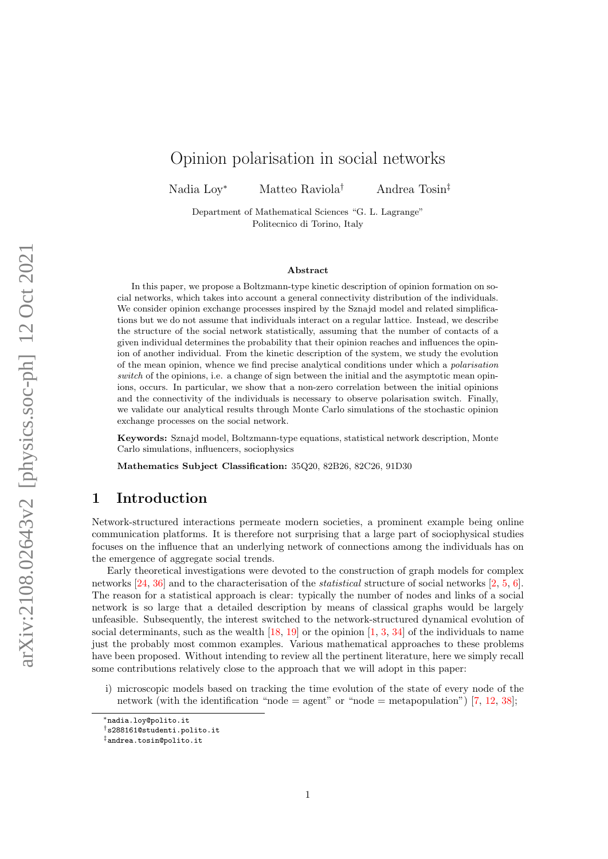# Opinion polarisation in social networks

Nadia Loy<sup>∗</sup> Matteo Raviola† Andrea Tosin‡

Department of Mathematical Sciences "G. L. Lagrange" Politecnico di Torino, Italy

#### Abstract

In this paper, we propose a Boltzmann-type kinetic description of opinion formation on social networks, which takes into account a general connectivity distribution of the individuals. We consider opinion exchange processes inspired by the Sznajd model and related simplifications but we do not assume that individuals interact on a regular lattice. Instead, we describe the structure of the social network statistically, assuming that the number of contacts of a given individual determines the probability that their opinion reaches and influences the opinion of another individual. From the kinetic description of the system, we study the evolution of the mean opinion, whence we find precise analytical conditions under which a polarisation switch of the opinions, i.e. a change of sign between the initial and the asymptotic mean opinions, occurs. In particular, we show that a non-zero correlation between the initial opinions and the connectivity of the individuals is necessary to observe polarisation switch. Finally, we validate our analytical results through Monte Carlo simulations of the stochastic opinion exchange processes on the social network.

Keywords: Sznajd model, Boltzmann-type equations, statistical network description, Monte Carlo simulations, influencers, sociophysics

Mathematics Subject Classification: 35Q20, 82B26, 82C26, 91D30

### 1 Introduction

Network-structured interactions permeate modern societies, a prominent example being online communication platforms. It is therefore not surprising that a large part of sociophysical studies focuses on the influence that an underlying network of connections among the individuals has on the emergence of aggregate social trends.

Early theoretical investigations were devoted to the construction of graph models for complex networks [\[24,](#page-14-0) [36\]](#page-15-0) and to the characterisation of the statistical structure of social networks [\[2,](#page-13-0) [5,](#page-13-1) [6\]](#page-13-2). The reason for a statistical approach is clear: typically the number of nodes and links of a social network is so large that a detailed description by means of classical graphs would be largely unfeasible. Subsequently, the interest switched to the network-structured dynamical evolution of social determinants, such as the wealth  $[18, 19]$  $[18, 19]$  or the opinion  $[1, 3, 34]$  $[1, 3, 34]$  $[1, 3, 34]$  $[1, 3, 34]$  of the individuals to name just the probably most common examples. Various mathematical approaches to these problems have been proposed. Without intending to review all the pertinent literature, here we simply recall some contributions relatively close to the approach that we will adopt in this paper:

i) microscopic models based on tracking the time evolution of the state of every node of the network (with the identification "node = agent" or "node = metapopulation") [\[7,](#page-13-5) [12,](#page-14-3) [38\]](#page-15-2);

<sup>∗</sup>nadia.loy@polito.it

<sup>†</sup>s288161@studenti.polito.it

<sup>‡</sup>andrea.tosin@polito.it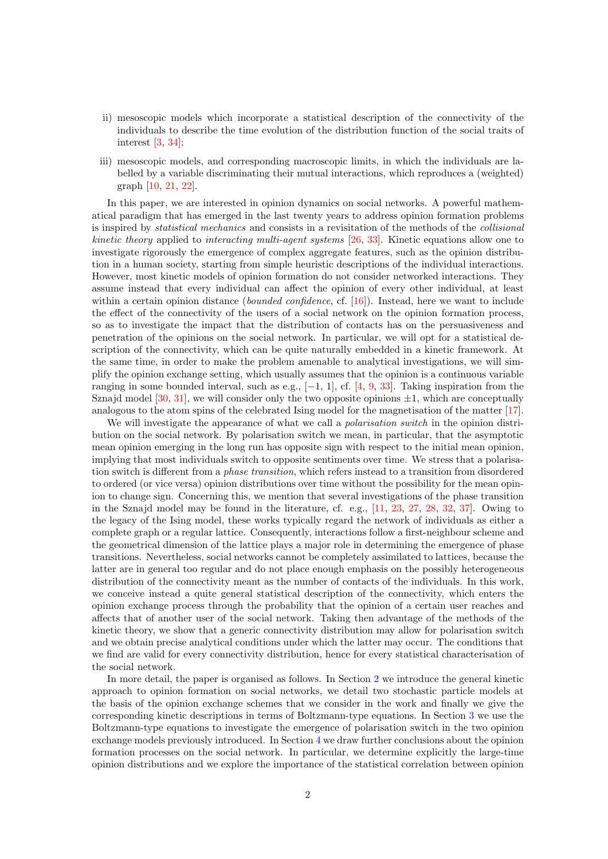- ii) mesoscopic models which incorporate a statistical description of the connectivity of the individuals to describe the time evolution of the distribution function of the social traits of interest [\[3,](#page-13-4) [34\]](#page-15-1);
- iii) mesoscopic models, and corresponding macroscopic limits, in which the individuals are labelled by a variable discriminating their mutual interactions, which reproduces a (weighted) graph [\[10,](#page-13-6) [21,](#page-14-4) [22\]](#page-14-5).

In this paper, we are interested in opinion dynamics on social networks. A powerful mathematical paradigm that has emerged in the last twenty years to address opinion formation problems is inspired by statistical mechanics and consists in a revisitation of the methods of the collisional kinetic theory applied to interacting multi-agent systems [\[26,](#page-14-6) [33\]](#page-15-3). Kinetic equations allow one to investigate rigorously the emergence of complex aggregate features, such as the opinion distribution in a human society, starting from simple heuristic descriptions of the individual interactions. However, most kinetic models of opinion formation do not consider networked interactions. They assume instead that every individual can affect the opinion of every other individual, at least within a certain opinion distance (*bounded confidence*, cf. [\[16\]](#page-14-7)). Instead, here we want to include the effect of the connectivity of the users of a social network on the opinion formation process, so as to investigate the impact that the distribution of contacts has on the persuasiveness and penetration of the opinions on the social network. In particular, we will opt for a statistical description of the connectivity, which can be quite naturally embedded in a kinetic framework. At the same time, in order to make the problem amenable to analytical investigations, we will simplify the opinion exchange setting, which usually assumes that the opinion is a continuous variable ranging in some bounded interval, such as e.g.,  $[-1, 1]$ , cf. [\[4,](#page-13-7) [9,](#page-13-8) [33\]](#page-15-3). Taking inspiration from the Sznajd model [\[30,](#page-14-8) [31\]](#page-14-9), we will consider only the two opposite opinions  $\pm 1$ , which are conceptually analogous to the atom spins of the celebrated Ising model for the magnetisation of the matter [\[17\]](#page-14-10).

We will investigate the appearance of what we call a *polarisation switch* in the opinion distribution on the social network. By polarisation switch we mean, in particular, that the asymptotic mean opinion emerging in the long run has opposite sign with respect to the initial mean opinion, implying that most individuals switch to opposite sentiments over time. We stress that a polarisation switch is different from a phase transition, which refers instead to a transition from disordered to ordered (or vice versa) opinion distributions over time without the possibility for the mean opinion to change sign. Concerning this, we mention that several investigations of the phase transition in the Sznajd model may be found in the literature, cf. e.g., [\[11,](#page-14-11) [23,](#page-14-12) [27,](#page-14-13) [28,](#page-14-14) [32,](#page-15-4) [37\]](#page-15-5). Owing to the legacy of the Ising model, these works typically regard the network of individuals as either a complete graph or a regular lattice. Consequently, interactions follow a first-neighbour scheme and the geometrical dimension of the lattice plays a major role in determining the emergence of phase transitions. Nevertheless, social networks cannot be completely assimilated to lattices, because the latter are in general too regular and do not place enough emphasis on the possibly heterogeneous distribution of the connectivity meant as the number of contacts of the individuals. In this work, we conceive instead a quite general statistical description of the connectivity, which enters the opinion exchange process through the probability that the opinion of a certain user reaches and affects that of another user of the social network. Taking then advantage of the methods of the kinetic theory, we show that a generic connectivity distribution may allow for polarisation switch and we obtain precise analytical conditions under which the latter may occur. The conditions that we find are valid for every connectivity distribution, hence for every statistical characterisation of the social network.

In more detail, the paper is organised as follows. In Section [2](#page-2-0) we introduce the general kinetic approach to opinion formation on social networks, we detail two stochastic particle models at the basis of the opinion exchange schemes that we consider in the work and finally we give the corresponding kinetic descriptions in terms of Boltzmann-type equations. In Section [3](#page-4-0) we use the Boltzmann-type equations to investigate the emergence of polarisation switch in the two opinion exchange models previously introduced. In Section [4](#page-8-0) we draw further conclusions about the opinion formation processes on the social network. In particular, we determine explicitly the large-time opinion distributions and we explore the importance of the statistical correlation between opinion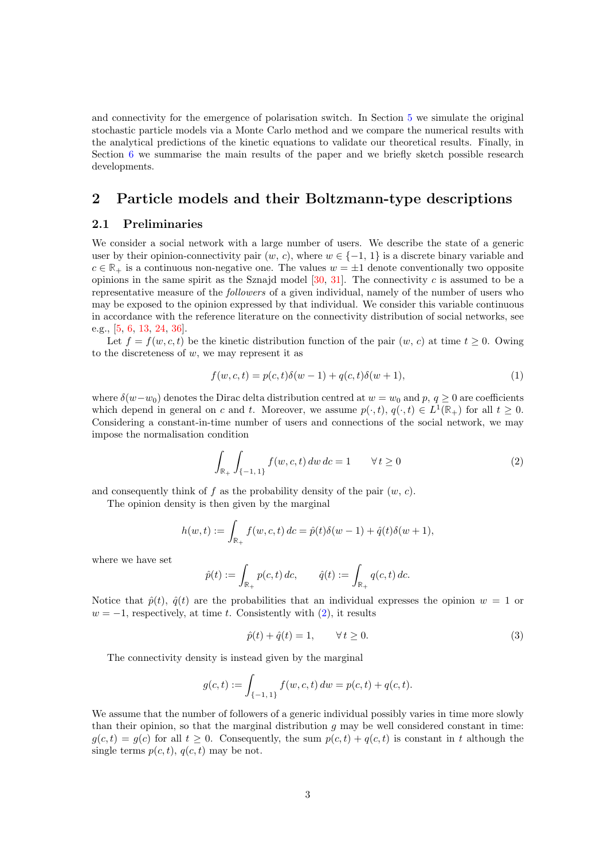and connectivity for the emergence of polarisation switch. In Section [5](#page-9-0) we simulate the original stochastic particle models via a Monte Carlo method and we compare the numerical results with the analytical predictions of the kinetic equations to validate our theoretical results. Finally, in Section [6](#page-11-0) we summarise the main results of the paper and we briefly sketch possible research developments.

## <span id="page-2-0"></span>2 Particle models and their Boltzmann-type descriptions

### <span id="page-2-2"></span>2.1 Preliminaries

We consider a social network with a large number of users. We describe the state of a generic user by their opinion-connectivity pair  $(w, c)$ , where  $w \in \{-1, 1\}$  is a discrete binary variable and  $c \in \mathbb{R}_+$  is a continuous non-negative one. The values  $w = \pm 1$  denote conventionally two opposite opinions in the same spirit as the Sznajd model  $[30, 31]$  $[30, 31]$ . The connectivity c is assumed to be a representative measure of the followers of a given individual, namely of the number of users who may be exposed to the opinion expressed by that individual. We consider this variable continuous in accordance with the reference literature on the connectivity distribution of social networks, see e.g., [\[5,](#page-13-1) [6,](#page-13-2) [13,](#page-14-15) [24,](#page-14-0) [36\]](#page-15-0).

Let  $f = f(w, c, t)$  be the kinetic distribution function of the pair  $(w, c)$  at time  $t \geq 0$ . Owing to the discreteness of  $w$ , we may represent it as

<span id="page-2-3"></span>
$$
f(w, c, t) = p(c, t)\delta(w - 1) + q(c, t)\delta(w + 1),
$$
\n(1)

where  $\delta(w-w_0)$  denotes the Dirac delta distribution centred at  $w = w_0$  and p,  $q \ge 0$  are coefficients which depend in general on c and t. Moreover, we assume  $p(\cdot, t), q(\cdot, t) \in L^1(\mathbb{R}_+)$  for all  $t \geq 0$ . Considering a constant-in-time number of users and connections of the social network, we may impose the normalisation condition

<span id="page-2-1"></span>
$$
\int_{\mathbb{R}_+} \int_{\{-1,1\}} f(w, c, t) \, dw \, dc = 1 \qquad \forall \, t \ge 0 \tag{2}
$$

and consequently think of f as the probability density of the pair  $(w, c)$ .

The opinion density is then given by the marginal

$$
h(w,t) := \int_{\mathbb{R}_+} f(w,c,t) \, dc = \hat{p}(t)\delta(w-1) + \hat{q}(t)\delta(w+1),
$$

where we have set

$$
\hat{p}(t) := \int_{\mathbb{R}_+} p(c, t) \, dc, \qquad \hat{q}(t) := \int_{\mathbb{R}_+} q(c, t) \, dc.
$$

Notice that  $\hat{p}(t)$ ,  $\hat{q}(t)$  are the probabilities that an individual expresses the opinion  $w = 1$  or  $w = -1$ , respectively, at time t. Consistently with  $(2)$ , it results

<span id="page-2-4"></span>
$$
\hat{p}(t) + \hat{q}(t) = 1, \qquad \forall \, t \ge 0. \tag{3}
$$

The connectivity density is instead given by the marginal

$$
g(c,t) := \int_{\{-1,1\}} f(w,c,t) \, dw = p(c,t) + q(c,t).
$$

We assume that the number of followers of a generic individual possibly varies in time more slowly than their opinion, so that the marginal distribution  $g$  may be well considered constant in time:  $g(c, t) = g(c)$  for all  $t \geq 0$ . Consequently, the sum  $p(c, t) + q(c, t)$  is constant in t although the single terms  $p(c, t)$ ,  $q(c, t)$  may be not.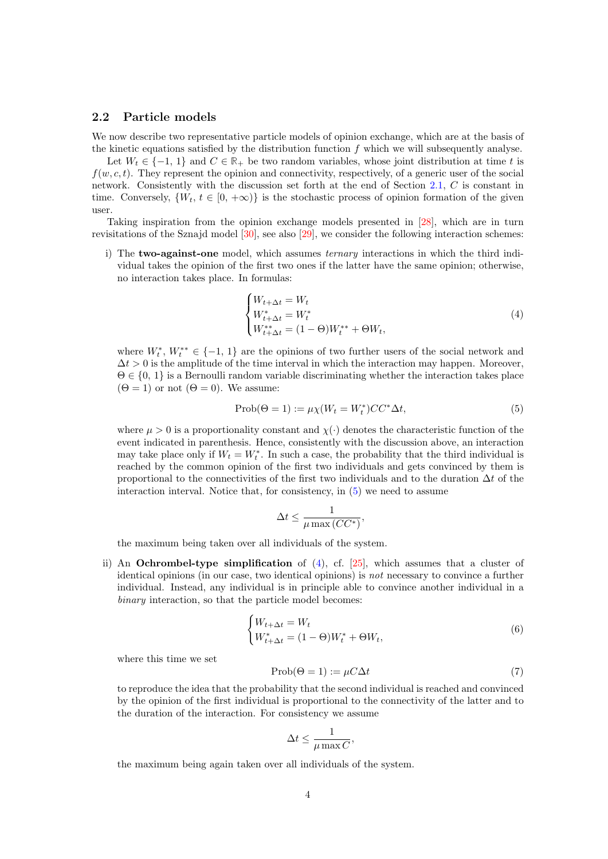#### 2.2 Particle models

We now describe two representative particle models of opinion exchange, which are at the basis of the kinetic equations satisfied by the distribution function  $f$  which we will subsequently analyse.

Let  $W_t \in \{-1, 1\}$  and  $C \in \mathbb{R}_+$  be two random variables, whose joint distribution at time t is  $f(w, c, t)$ . They represent the opinion and connectivity, respectively, of a generic user of the social network. Consistently with the discussion set forth at the end of Section [2.1,](#page-2-2) C is constant in time. Conversely,  $\{W_t, t \in [0, +\infty)\}\$ is the stochastic process of opinion formation of the given user.

Taking inspiration from the opinion exchange models presented in [\[28\]](#page-14-14), which are in turn revisitations of the Sznajd model [\[30\]](#page-14-8), see also [\[29\]](#page-14-16), we consider the following interaction schemes:

i) The **two-against-one** model, which assumes *ternary* interactions in which the third individual takes the opinion of the first two ones if the latter have the same opinion; otherwise, no interaction takes place. In formulas:

<span id="page-3-1"></span>
$$
\begin{cases} W_{t+\Delta t} = W_t \\ W_{t+\Delta t}^* = W_t^* \\ W_{t+\Delta t}^{**} = (1 - \Theta) W_t^{**} + \Theta W_t, \end{cases} \tag{4}
$$

where  $W_t^*, W_t^{**} \in \{-1, 1\}$  are the opinions of two further users of the social network and  $\Delta t > 0$  is the amplitude of the time interval in which the interaction may happen. Moreover,  $\Theta \in \{0, 1\}$  is a Bernoulli random variable discriminating whether the interaction takes place  $(\Theta = 1)$  or not  $(\Theta = 0)$ . We assume:

<span id="page-3-0"></span>
$$
\text{Prob}(\Theta = 1) := \mu \chi(W_t = W_t^*) C C^* \Delta t,\tag{5}
$$

where  $\mu > 0$  is a proportionality constant and  $\chi(\cdot)$  denotes the characteristic function of the event indicated in parenthesis. Hence, consistently with the discussion above, an interaction may take place only if  $W_t = W_t^*$ . In such a case, the probability that the third individual is reached by the common opinion of the first two individuals and gets convinced by them is proportional to the connectivities of the first two individuals and to the duration  $\Delta t$  of the interaction interval. Notice that, for consistency, in [\(5\)](#page-3-0) we need to assume

$$
\Delta t \leq \frac{1}{\mu \max{(CC^*)}},
$$

the maximum being taken over all individuals of the system.

ii) An **Ochrombel-type simplification** of  $(4)$ , cf.  $[25]$ , which assumes that a cluster of identical opinions (in our case, two identical opinions) is not necessary to convince a further individual. Instead, any individual is in principle able to convince another individual in a binary interaction, so that the particle model becomes:

<span id="page-3-3"></span><span id="page-3-2"></span>
$$
\begin{cases} W_{t+\Delta t} = W_t \\ W_{t+\Delta t}^* = (1-\Theta)W_t^* + \Theta W_t, \end{cases} \tag{6}
$$

where this time we set

$$
Prob(\Theta = 1) := \mu C \Delta t \tag{7}
$$

to reproduce the idea that the probability that the second individual is reached and convinced by the opinion of the first individual is proportional to the connectivity of the latter and to the duration of the interaction. For consistency we assume

$$
\Delta t \le \frac{1}{\mu \max C},
$$

the maximum being again taken over all individuals of the system.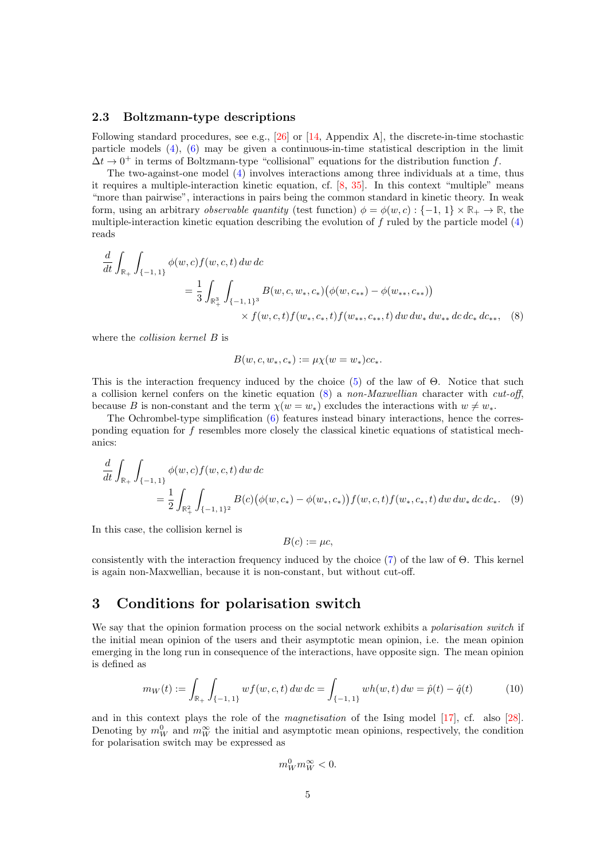#### 2.3 Boltzmann-type descriptions

Following standard procedures, see e.g., [\[26\]](#page-14-6) or [\[14,](#page-14-18) Appendix A], the discrete-in-time stochastic particle models [\(4\)](#page-3-1), [\(6\)](#page-3-2) may be given a continuous-in-time statistical description in the limit  $\Delta t \rightarrow 0^+$  in terms of Boltzmann-type "collisional" equations for the distribution function f.

The two-against-one model [\(4\)](#page-3-1) involves interactions among three individuals at a time, thus it requires a multiple-interaction kinetic equation, cf. [\[8,](#page-13-9) [35\]](#page-15-6). In this context "multiple" means "more than pairwise", interactions in pairs being the common standard in kinetic theory. In weak form, using an arbitrary *observable quantity* (test function)  $\phi = \phi(w, c) : \{-1, 1\} \times \mathbb{R}_+ \to \mathbb{R}$ , the multiple-interaction kinetic equation describing the evolution of  $f$  ruled by the particle model  $(4)$ reads

$$
\frac{d}{dt} \int_{\mathbb{R}_+} \int_{\{-1,1\}} \phi(w,c) f(w,c,t) \, dw \, dc
$$
\n
$$
= \frac{1}{3} \int_{\mathbb{R}_+^3} \int_{\{-1,1\}^3} B(w,c,w_*,c_*) \big(\phi(w,c_{**}) - \phi(w_{**},c_{**})\big) \times f(w,c,t) f(w_*,c_*,t) \, dw \, dw_* \, dw_{**} \, dc \, dc_* \, dc_*, \quad (8)
$$

where the *collision kernel*  $B$  is

<span id="page-4-1"></span>
$$
B(w, c, w_*, c_*) := \mu \chi(w = w_*) c c_*.
$$

This is the interaction frequency induced by the choice  $(5)$  of the law of  $\Theta$ . Notice that such a collision kernel confers on the kinetic equation  $(8)$  a non-Maxwellian character with cut-off, because B is non-constant and the term  $\chi(w = w_*)$  excludes the interactions with  $w \neq w_*$ .

The Ochrombel-type simplification [\(6\)](#page-3-2) features instead binary interactions, hence the corresponding equation for f resembles more closely the classical kinetic equations of statistical mechanics:

$$
\frac{d}{dt} \int_{\mathbb{R}_+} \int_{\{-1,1\}} \phi(w,c) f(w,c,t) \, dw \, dc
$$
\n
$$
= \frac{1}{2} \int_{\mathbb{R}_+^2} \int_{\{-1,1\}^2} B(c) \big(\phi(w,c_*) - \phi(w_*,c_*)\big) f(w,c,t) f(w_*,c_*,t) \, dw \, dw_* \, dc \, dc_*. \tag{9}
$$

In this case, the collision kernel is

<span id="page-4-3"></span>
$$
B(c) := \mu c,
$$

consistently with the interaction frequency induced by the choice [\(7\)](#page-3-3) of the law of Θ. This kernel is again non-Maxwellian, because it is non-constant, but without cut-off.

### <span id="page-4-0"></span>3 Conditions for polarisation switch

We say that the opinion formation process on the social network exhibits a *polarisation switch* if the initial mean opinion of the users and their asymptotic mean opinion, i.e. the mean opinion emerging in the long run in consequence of the interactions, have opposite sign. The mean opinion is defined as

<span id="page-4-2"></span>
$$
m_W(t) := \int_{\mathbb{R}_+} \int_{\{-1,1\}} w f(w, c, t) \, dw \, dc = \int_{\{-1,1\}} w h(w, t) \, dw = \hat{p}(t) - \hat{q}(t) \tag{10}
$$

and in this context plays the role of the magnetisation of the Ising model [\[17\]](#page-14-10), cf. also [\[28\]](#page-14-14). Denoting by  $m_W^0$  and  $m_W^{\infty}$  the initial and asymptotic mean opinions, respectively, the condition for polarisation switch may be expressed as

$$
m_W^0 m_W^{\infty} < 0.
$$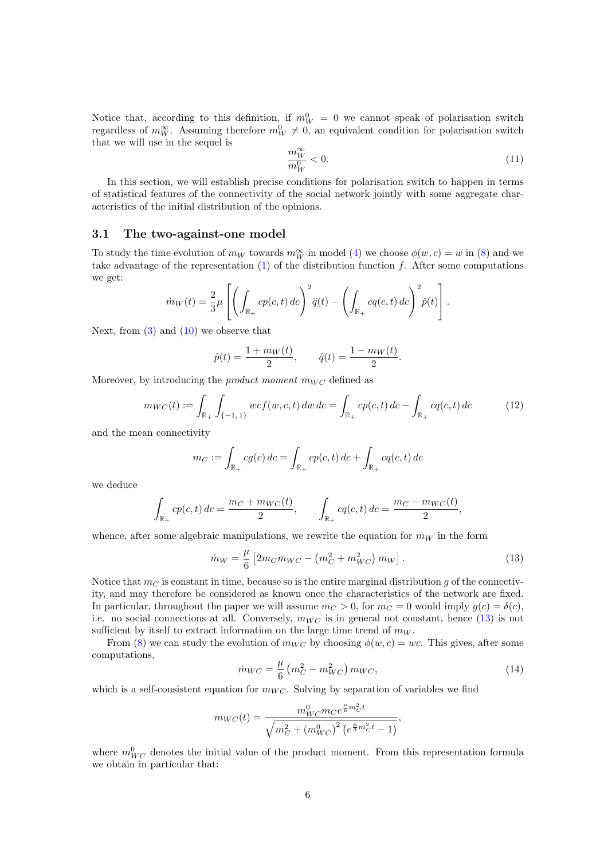Notice that, according to this definition, if  $m_W^0 = 0$  we cannot speak of polarisation switch regardless of  $m_W^{\infty}$ . Assuming therefore  $m_W^0 \neq 0$ , an equivalent condition for polarisation switch that we will use in the sequel is

<span id="page-5-2"></span>
$$
\frac{m_W^{\infty}}{m_W^0} < 0. \tag{11}
$$

In this section, we will establish precise conditions for polarisation switch to happen in terms of statistical features of the connectivity of the social network jointly with some aggregate characteristics of the initial distribution of the opinions.

#### <span id="page-5-3"></span>3.1 The two-against-one model

To study the time evolution of  $m_W$  towards  $m_W^{\infty}$  in model [\(4\)](#page-3-1) we choose  $\phi(w, c) = w$  in [\(8\)](#page-4-1) and we take advantage of the representation  $(1)$  of the distribution function f. After some computations we get:

$$
\dot{m}_W(t) = \frac{2}{3}\mu \left[ \left( \int_{\mathbb{R}_+} cp(c, t) \, dc \right)^2 \hat{q}(t) - \left( \int_{\mathbb{R}_+} cq(c, t) \, dc \right)^2 \hat{p}(t) \right].
$$

Next, from  $(3)$  and  $(10)$  we observe that

<span id="page-5-1"></span>
$$
\hat{p}(t) = \frac{1 + m_W(t)}{2}
$$
,  $\hat{q}(t) = \frac{1 - m_W(t)}{2}$ .

Moreover, by introducing the *product moment*  $m_{WC}$  defined as

$$
m_{WC}(t) := \int_{\mathbb{R}_+} \int_{\{-1, 1\}} wcf(w, c, t) \, dw \, dc = \int_{\mathbb{R}_+} cp(c, t) \, dc - \int_{\mathbb{R}_+} cq(c, t) \, dc \tag{12}
$$

and the mean connectivity

$$
m_C := \int_{\mathbb{R}_+} cg(c) \, dc = \int_{\mathbb{R}_+} cp(c, t) \, dc + \int_{\mathbb{R}_+} cq(c, t) \, dc
$$

we deduce

$$
\int_{\mathbb{R}_+} cp(c, t) \, dc = \frac{m_C + m_{WC}(t)}{2}, \qquad \int_{\mathbb{R}_+} cq(c, t) \, dc = \frac{m_C - m_{WC}(t)}{2},
$$

whence, after some algebraic manipulations, we rewrite the equation for  $m_W$  in the form

<span id="page-5-0"></span>
$$
\dot{m}_W = \frac{\mu}{6} \left[ 2m_C m_{WC} - \left( m_C^2 + m_{WC}^2 \right) m_W \right].
$$
 (13)

Notice that  $m<sub>C</sub>$  is constant in time, because so is the entire marginal distribution g of the connectivity, and may therefore be considered as known once the characteristics of the network are fixed. In particular, throughout the paper we will assume  $m_C > 0$ , for  $m_C = 0$  would imply  $g(c) = \delta(c)$ , i.e. no social connections at all. Conversely,  $m_{WC}$  is in general not constant, hence [\(13\)](#page-5-0) is not sufficient by itself to extract information on the large time trend of  $m_W$ .

<span id="page-5-4"></span>From [\(8\)](#page-4-1) we can study the evolution of  $m_{WC}$  by choosing  $\phi(w, c) = wc$ . This gives, after some computations,

$$
\dot{m}_{WC} = \frac{\mu}{6} \left( m_C^2 - m_{WC}^2 \right) m_{WC},\tag{14}
$$

which is a self-consistent equation for  $m_{WC}$ . Solving by separation of variables we find

$$
m_{WC}(t) = \frac{m_{WC}^0 m_{C} e^{\frac{\mu}{6} m_{C}^2 t}}{\sqrt{m_{C}^2 + (m_{WC}^0)^2 (e^{\frac{\mu}{3} m_{C}^2 t} - 1)}},
$$

where  $m_{WC}^0$  denotes the initial value of the product moment. From this representation formula we obtain in particular that: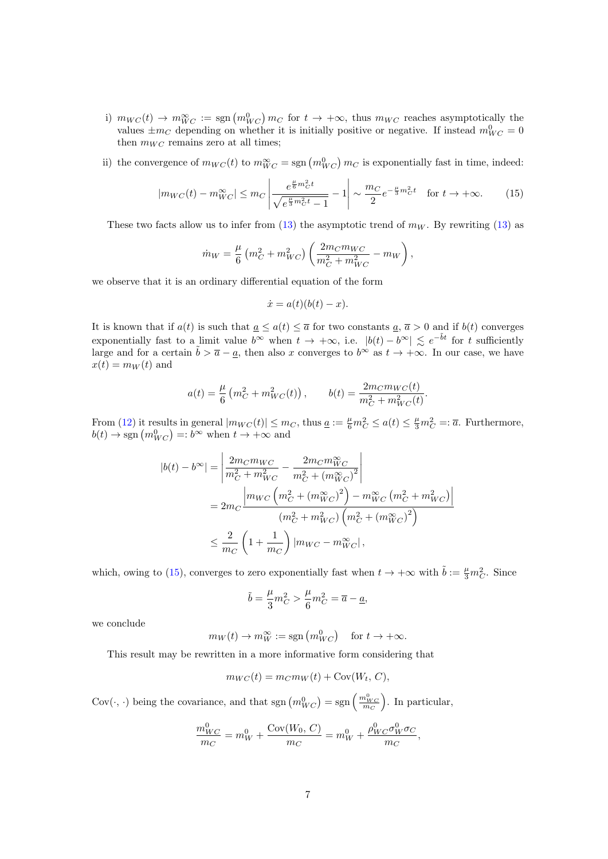- i)  $m_{WC}(t) \to m_{WC}^{\infty} := \text{sgn}(m_{WC}^0) m_C$  for  $t \to +\infty$ , thus  $m_{WC}$  reaches asymptotically the values  $\pm m_C$  depending on whether it is initially positive or negative. If instead  $m_{WC}^0 = 0$ then  $m_{WC}$  remains zero at all times;
- <span id="page-6-0"></span>ii) the convergence of  $m_{WC}(t)$  to  $m_{WC}^{\infty} = \text{sgn}(m_{WC}^0) m_C$  is exponentially fast in time, indeed:

$$
|m_{WC}(t) - m_{WC}^{\infty}| \le m_C \left| \frac{e^{\frac{\mu}{6}m_C^2 t}}{\sqrt{e^{\frac{\mu}{3}m_C^2 t} - 1}} - 1 \right| \sim \frac{m_C}{2} e^{-\frac{\mu}{3}m_C^2 t} \quad \text{for } t \to +\infty. \tag{15}
$$

These two facts allow us to infer from  $(13)$  the asymptotic trend of  $m_W$ . By rewriting [\(13\)](#page-5-0) as

$$
\dot{m}_W = \frac{\mu}{6} \left( m_C^2 + m_{WC}^2 \right) \left( \frac{2m_C m_{WC}}{m_C^2 + m_{WC}^2} - m_W \right),\,
$$

we observe that it is an ordinary differential equation of the form

$$
\dot{x} = a(t)(b(t) - x).
$$

It is known that if  $a(t)$  is such that  $\underline{a} \leq a(t) \leq \overline{a}$  for two constants  $\underline{a}$ ,  $\overline{a} > 0$  and if  $b(t)$  converges exponentially fast to a limit value  $b^{\infty}$  when  $t \to +\infty$ , i.e.  $|b(t) - b^{\infty}| \leq e^{-\tilde{b}t}$  for t sufficiently large and for a certain  $\tilde{b} > \overline{a} - \underline{a}$ , then also x converges to  $b^{\infty}$  as  $t \to +\infty$ . In our case, we have  $x(t) = m_W(t)$  and

$$
a(t) = \frac{\mu}{6} \left( m_C^2 + m_{WC}^2(t) \right), \qquad b(t) = \frac{2m_C m_{WC}(t)}{m_C^2 + m_{WC}^2(t)}.
$$

From [\(12\)](#page-5-1) it results in general  $|m_{WC}(t)| \leq m_C$ , thus  $\underline{a} := \frac{\mu}{6} m_C^2 \leq a(t) \leq \frac{\mu}{3} m_C^2 = \overline{a}$ . Furthermore,  $b(t) \to \text{sgn}(m_{WC}^0) =: b^{\infty}$  when  $t \to +\infty$  and

$$
|b(t) - b^{\infty}| = \left| \frac{2m_C m_{WC}}{m_C^2 + m_{WC}^2} - \frac{2m_C m_{WC}^{\infty}}{m_C^2 + (m_{WC}^{\infty})^2} \right|
$$
  
= 
$$
2m_C \frac{\left| m_{WC} \left( m_C^2 + (m_{WC}^{\infty})^2 \right) - m_{WC}^{\infty} \left( m_C^2 + m_{WC}^2 \right) \right|}{\left( m_C^2 + m_{WC}^2 \right) \left( m_C^2 + (m_{WC}^{\infty})^2 \right)}
$$
  

$$
\leq \frac{2}{m_C} \left( 1 + \frac{1}{m_C} \right) | m_{WC} - m_{WC}^{\infty} |,
$$

which, owing to [\(15\)](#page-6-0), converges to zero exponentially fast when  $t \to +\infty$  with  $\tilde{b} := \frac{\mu}{3} m_C^2$ . Since

$$
\tilde{b} = \frac{\mu}{3}m_C^2 > \frac{\mu}{6}m_C^2 = \overline{a} - \underline{a},
$$

we conclude

$$
m_W(t) \to m_W^{\infty} := \text{sgn}(m_{WC}^0)
$$
 for  $t \to +\infty$ .

This result may be rewritten in a more informative form considering that

$$
m_{WC}(t) = m_C m_W(t) + \text{Cov}(W_t, C),
$$

Cov $(\cdot, \cdot)$  being the covariance, and that sgn  $\left(m_{WC}^0\right) = \text{sgn}\left(\frac{m_{WC}^0}{m_C}\right)$ . In particular,

$$
\frac{m_{WC}^0}{m_C} = m_W^0 + \frac{\text{Cov}(W_0, C)}{m_C} = m_W^0 + \frac{\rho_{WC}^0 \sigma_W^0 \sigma_C}{m_C},
$$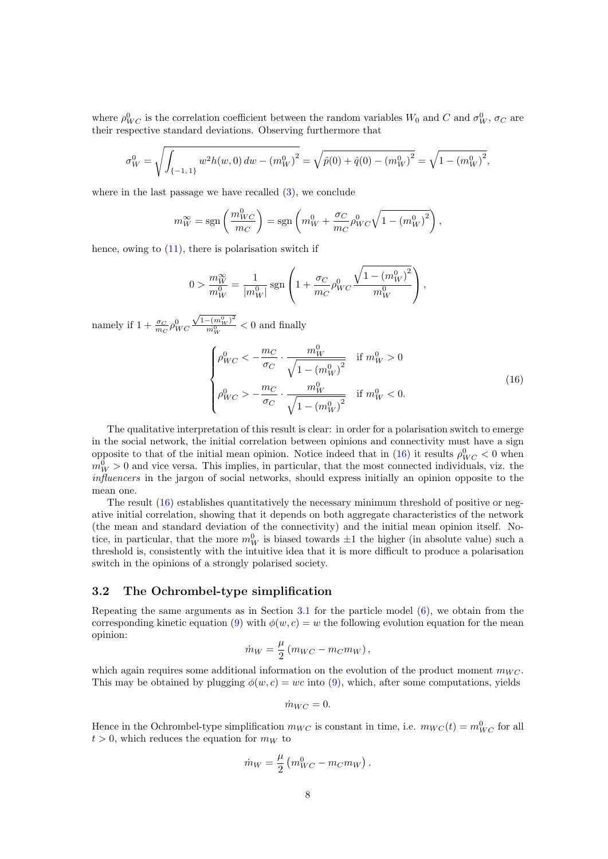where  $\rho_{WC}^0$  is the correlation coefficient between the random variables  $W_0$  and C and  $\sigma_W^0$ ,  $\sigma_C$  are their respective standard deviations. Observing furthermore that

$$
\sigma_W^0 = \sqrt{\int_{\{-1,1\}} w^2 h(w,0) \, dw - (m_W^0)^2} = \sqrt{\hat{p}(0) + \hat{q}(0) - (m_W^0)^2} = \sqrt{1 - (m_W^0)^2},
$$

where in the last passage we have recalled  $(3)$ , we conclude

$$
m_W^{\infty} = \text{sgn}\left(\frac{m_{WC}^0}{m_C}\right) = \text{sgn}\left(m_W^0 + \frac{\sigma_C}{m_C}\rho_{WC}^0\sqrt{1 - (m_W^0)^2}\right),\,
$$

hence, owing to  $(11)$ , there is polarisation switch if

$$
0 > \frac{m_W^{\infty}}{m_W^0} = \frac{1}{|m_W^0|} \operatorname{sgn}\left(1 + \frac{\sigma_C}{m_C} \rho_{WC}^0 \frac{\sqrt{1 - (m_W^0)^2}}{m_W^0}\right),
$$

namely if  $1 + \frac{\sigma_C}{m_C} \rho_{WC}^0$ √  $1-(m_W^0)^2$  $\frac{-(m_W^2)}{m_W^0}$  < 0 and finally

<span id="page-7-0"></span>
$$
\begin{cases}\n\rho_{WC}^0 < -\frac{m_C}{\sigma_C} \cdot \frac{m_W^0}{\sqrt{1 - (m_W^0)^2}} & \text{if } m_W^0 > 0 \\
\rho_{WC}^0 > -\frac{m_C}{\sigma_C} \cdot \frac{m_W^0}{\sqrt{1 - (m_W^0)^2}} & \text{if } m_W^0 < 0.\n\end{cases} \tag{16}
$$

The qualitative interpretation of this result is clear: in order for a polarisation switch to emerge in the social network, the initial correlation between opinions and connectivity must have a sign opposite to that of the initial mean opinion. Notice indeed that in [\(16\)](#page-7-0) it results  $\rho_{WC}^0 < 0$  when  $m_W^0 > 0$  and vice versa. This implies, in particular, that the most connected individuals, viz. the influencers in the jargon of social networks, should express initially an opinion opposite to the mean one.

The result [\(16\)](#page-7-0) establishes quantitatively the necessary minimum threshold of positive or negative initial correlation, showing that it depends on both aggregate characteristics of the network (the mean and standard deviation of the connectivity) and the initial mean opinion itself. Notice, in particular, that the more  $m_W^0$  is biased towards  $\pm 1$  the higher (in absolute value) such a threshold is, consistently with the intuitive idea that it is more difficult to produce a polarisation switch in the opinions of a strongly polarised society.

#### 3.2 The Ochrombel-type simplification

Repeating the same arguments as in Section [3.1](#page-5-3) for the particle model [\(6\)](#page-3-2), we obtain from the corresponding kinetic equation [\(9\)](#page-4-3) with  $\phi(w, c) = w$  the following evolution equation for the mean opinion:

$$
\dot{m}_W = \frac{\mu}{2} \left( m_{WC} - m_C m_W \right),
$$

which again requires some additional information on the evolution of the product moment  $m_{WC}$ . This may be obtained by plugging  $\phi(w, c) = wc$  into [\(9\)](#page-4-3), which, after some computations, yields

$$
\dot{m}_{WC} = 0.
$$

Hence in the Ochrombel-type simplification  $m_{WC}$  is constant in time, i.e.  $m_{WC}(t) = m_{WC}^0$  for all  $t > 0$ , which reduces the equation for  $m_W$  to

$$
\dot{m}_W = \frac{\mu}{2} \left( m_{WC}^0 - m_C m_W \right).
$$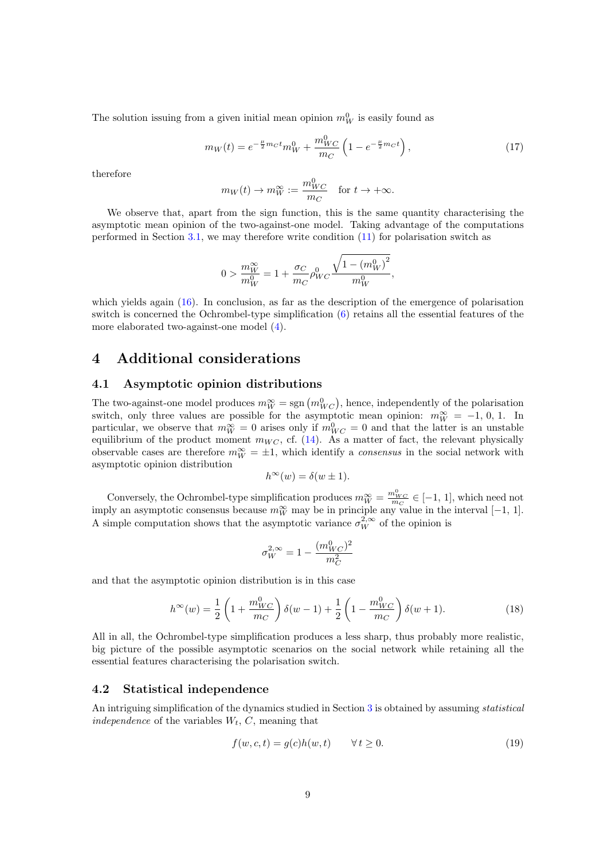The solution issuing from a given initial mean opinion  $m_W^0$  is easily found as

$$
m_W(t) = e^{-\frac{\mu}{2}mct}m_W^0 + \frac{m_{WC}^0}{m_C} \left(1 - e^{-\frac{\mu}{2}m_C t}\right),
$$
\n(17)

therefore

<span id="page-8-2"></span>
$$
m_W(t) \to m_W^{\infty} := \frac{m_{WC}^0}{m_C}
$$
 for  $t \to +\infty$ .

We observe that, apart from the sign function, this is the same quantity characterising the asymptotic mean opinion of the two-against-one model. Taking advantage of the computations performed in Section [3.1,](#page-5-3) we may therefore write condition [\(11\)](#page-5-2) for polarisation switch as

$$
0 > \frac{m_W^{\infty}}{m_W^0} = 1 + \frac{\sigma_C}{m_C} \rho_{WC}^0 \frac{\sqrt{1 - (m_W^0)^2}}{m_W^0},
$$

which yields again  $(16)$ . In conclusion, as far as the description of the emergence of polarisation switch is concerned the Ochrombel-type simplification [\(6\)](#page-3-2) retains all the essential features of the more elaborated two-against-one model [\(4\)](#page-3-1).

### <span id="page-8-0"></span>4 Additional considerations

#### 4.1 Asymptotic opinion distributions

The two-against-one model produces  $m_W^{\infty} = \text{sgn}(m_{WC}^0)$ , hence, independently of the polarisation switch, only three values are possible for the asymptotic mean opinion:  $m_W^{\infty} = -1, 0, 1$ . In particular, we observe that  $m_W^{\infty} = 0$  arises only if  $m_{WC}^0 = 0$  and that the latter is an unstable equilibrium of the product moment  $m_{WC}$ , cf. [\(14\)](#page-5-4). As a matter of fact, the relevant physically observable cases are therefore  $m_W^{\infty} = \pm 1$ , which identify a *consensus* in the social network with asymptotic opinion distribution

$$
h^{\infty}(w) = \delta(w \pm 1).
$$

Conversely, the Ochrombel-type simplification produces  $m_W^{\infty} = \frac{m_{WC}^0}{m_C} \in [-1, 1]$ , which need not imply an asymptotic consensus because  $m_W^{\infty}$  may be in principle any value in the interval [-1, 1]. A simple computation shows that the asymptotic variance  $\sigma_W^{2,\infty}$  of the opinion is

<span id="page-8-3"></span>
$$
\sigma_W^{2,\infty} = 1 - \frac{(m_{WC}^0)^2}{m_C^2}
$$

and that the asymptotic opinion distribution is in this case

$$
h^{\infty}(w) = \frac{1}{2} \left( 1 + \frac{m_{WC}^0}{m_C} \right) \delta(w - 1) + \frac{1}{2} \left( 1 - \frac{m_{WC}^0}{m_C} \right) \delta(w + 1).
$$
 (18)

All in all, the Ochrombel-type simplification produces a less sharp, thus probably more realistic, big picture of the possible asymptotic scenarios on the social network while retaining all the essential features characterising the polarisation switch.

### <span id="page-8-4"></span>4.2 Statistical independence

An intriguing simplification of the dynamics studied in Section [3](#page-4-0) is obtained by assuming statistical independence of the variables  $W_t$ , C, meaning that

<span id="page-8-1"></span>
$$
f(w, c, t) = g(c)h(w, t) \qquad \forall t \ge 0.
$$
\n
$$
(19)
$$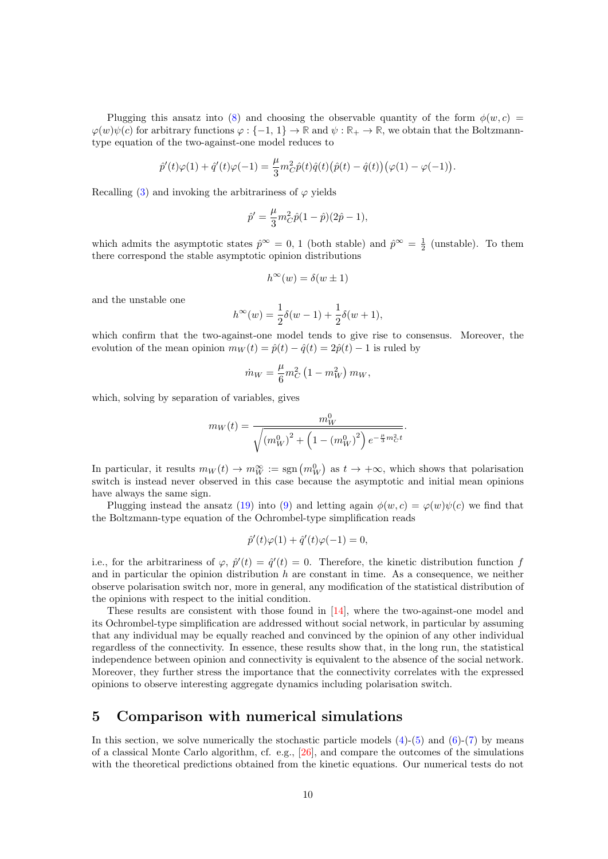Plugging this ansatz into [\(8\)](#page-4-1) and choosing the observable quantity of the form  $\phi(w, c)$  $\varphi(w)\psi(c)$  for arbitrary functions  $\varphi: \{-1, 1\} \to \mathbb{R}$  and  $\psi: \mathbb{R}_+ \to \mathbb{R}$ , we obtain that the Boltzmanntype equation of the two-against-one model reduces to

$$
\hat{p}'(t)\varphi(1) + \hat{q}'(t)\varphi(-1) = \frac{\mu}{3}m_C^2\hat{p}(t)\hat{q}(t)(\hat{p}(t) - \hat{q}(t))(\varphi(1) - \varphi(-1)).
$$

Recalling [\(3\)](#page-2-4) and invoking the arbitrariness of  $\varphi$  yields

$$
\hat{p}' = \frac{\mu}{3} m_C^2 \hat{p} (1 - \hat{p}) (2\hat{p} - 1),
$$

which admits the asymptotic states  $\hat{p}^{\infty} = 0$ , 1 (both stable) and  $\hat{p}^{\infty} = \frac{1}{2}$  (unstable). To them there correspond the stable asymptotic opinion distributions

$$
h^{\infty}(w) = \delta(w \pm 1)
$$

and the unstable one

$$
h^{\infty}(w) = \frac{1}{2}\delta(w - 1) + \frac{1}{2}\delta(w + 1),
$$

which confirm that the two-against-one model tends to give rise to consensus. Moreover, the evolution of the mean opinion  $m_W(t) = \hat{p}(t) - \hat{q}(t) = 2\hat{p}(t) - 1$  is ruled by

$$
\dot{m}_W = \frac{\mu}{6} m_C^2 \left( 1 - m_W^2 \right) m_W,
$$

which, solving by separation of variables, gives

$$
m_W(t) = \frac{m_W^0}{\sqrt{(m_W^0)^2 + \left(1 - \left(m_W^0\right)^2\right)e^{-\frac{\mu}{3}m_C^2 t}}}.
$$

In particular, it results  $m_W(t) \to m_W^{\infty} := \text{sgn}(m_W^0)$  as  $t \to +\infty$ , which shows that polarisation switch is instead never observed in this case because the asymptotic and initial mean opinions have always the same sign.

Plugging instead the ansatz [\(19\)](#page-8-1) into [\(9\)](#page-4-3) and letting again  $\phi(w, c) = \varphi(w)\psi(c)$  we find that the Boltzmann-type equation of the Ochrombel-type simplification reads

$$
\hat{p}'(t)\varphi(1) + \hat{q}'(t)\varphi(-1) = 0,
$$

i.e., for the arbitrariness of  $\varphi$ ,  $\hat{p}'(t) = \hat{q}'(t) = 0$ . Therefore, the kinetic distribution function f and in particular the opinion distribution  $h$  are constant in time. As a consequence, we neither observe polarisation switch nor, more in general, any modification of the statistical distribution of the opinions with respect to the initial condition.

These results are consistent with those found in [\[14\]](#page-14-18), where the two-against-one model and its Ochrombel-type simplification are addressed without social network, in particular by assuming that any individual may be equally reached and convinced by the opinion of any other individual regardless of the connectivity. In essence, these results show that, in the long run, the statistical independence between opinion and connectivity is equivalent to the absence of the social network. Moreover, they further stress the importance that the connectivity correlates with the expressed opinions to observe interesting aggregate dynamics including polarisation switch.

### <span id="page-9-0"></span>5 Comparison with numerical simulations

In this section, we solve numerically the stochastic particle models  $(4)-(5)$  $(4)-(5)$  and  $(6)-(7)$  $(6)-(7)$  by means of a classical Monte Carlo algorithm, cf. e.g., [\[26\]](#page-14-6), and compare the outcomes of the simulations with the theoretical predictions obtained from the kinetic equations. Our numerical tests do not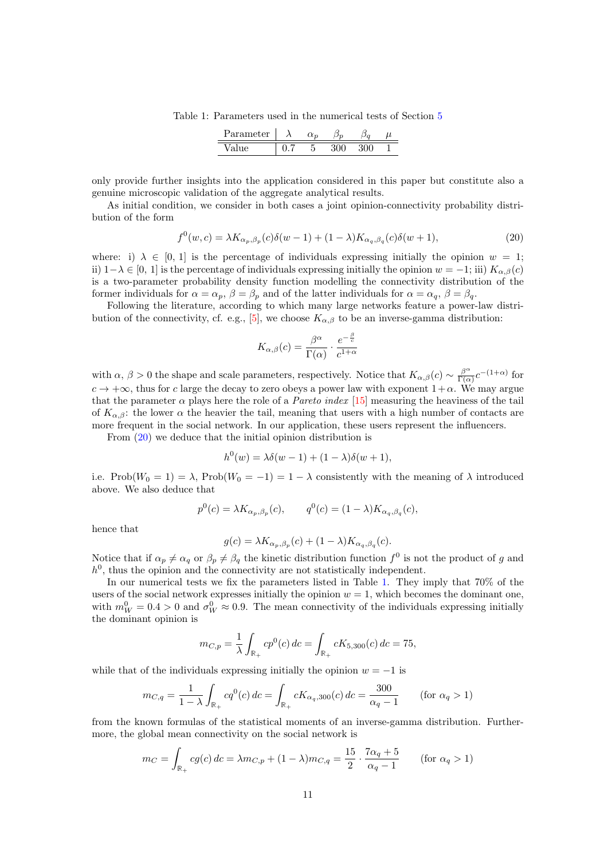Table 1: Parameters used in the numerical tests of Section [5](#page-9-0)

| meter<br>$\Omega$                      |  |  |  |
|----------------------------------------|--|--|--|
| $\mathbf{v}$ $\mathbf{v}$ $\mathbf{v}$ |  |  |  |

<span id="page-10-1"></span>only provide further insights into the application considered in this paper but constitute also a genuine microscopic validation of the aggregate analytical results.

As initial condition, we consider in both cases a joint opinion-connectivity probability distribution of the form

<span id="page-10-0"></span>
$$
f^{0}(w,c) = \lambda K_{\alpha_{p},\beta_{p}}(c)\delta(w-1) + (1-\lambda)K_{\alpha_{q},\beta_{q}}(c)\delta(w+1),
$$
\n(20)

where: i)  $\lambda \in [0, 1]$  is the percentage of individuals expressing initially the opinion  $w = 1$ ; ii)  $1-\lambda \in [0, 1]$  is the percentage of individuals expressing initially the opinion  $w = -1$ ; iii)  $K_{\alpha\beta}(c)$ is a two-parameter probability density function modelling the connectivity distribution of the former individuals for  $\alpha = \alpha_p$ ,  $\beta = \beta_p$  and of the latter individuals for  $\alpha = \alpha_q$ ,  $\beta = \beta_q$ .

Following the literature, according to which many large networks feature a power-law distri-bution of the connectivity, cf. e.g., [\[5\]](#page-13-1), we choose  $K_{\alpha,\beta}$  to be an inverse-gamma distribution:

$$
K_{\alpha,\beta}(c) = \frac{\beta^{\alpha}}{\Gamma(\alpha)} \cdot \frac{e^{-\frac{\beta}{c}}}{c^{1+\alpha}}
$$

with  $\alpha$ ,  $\beta > 0$  the shape and scale parameters, respectively. Notice that  $K_{\alpha,\beta}(c) \sim \frac{\beta^{\alpha}}{\Gamma(\alpha)}$  $\frac{\beta^{\alpha}}{\Gamma(\alpha)}c^{-(1+\alpha)}$  for  $c \to +\infty$ , thus for c large the decay to zero obeys a power law with exponent  $1+\alpha$ . We may argue that the parameter  $\alpha$  plays here the role of a *Pareto index* [\[15\]](#page-14-19) measuring the heaviness of the tail of  $K_{\alpha,\beta}$ : the lower  $\alpha$  the heavier the tail, meaning that users with a high number of contacts are more frequent in the social network. In our application, these users represent the influencers.

From [\(20\)](#page-10-0) we deduce that the initial opinion distribution is

$$
h^{0}(w) = \lambda \delta(w - 1) + (1 - \lambda)\delta(w + 1),
$$

i.e. Prob $(W_0 = 1) = \lambda$ , Prob $(W_0 = -1) = 1 - \lambda$  consistently with the meaning of  $\lambda$  introduced above. We also deduce that

$$
p^{0}(c) = \lambda K_{\alpha_p, \beta_p}(c), \qquad q^{0}(c) = (1 - \lambda) K_{\alpha_q, \beta_q}(c),
$$

hence that

$$
g(c) = \lambda K_{\alpha_p, \beta_p}(c) + (1 - \lambda)K_{\alpha_q, \beta_q}(c).
$$

Notice that if  $\alpha_p \neq \alpha_q$  or  $\beta_p \neq \beta_q$  the kinetic distribution function  $f^0$  is not the product of g and  $h^0$ , thus the opinion and the connectivity are not statistically independent.

In our numerical tests we fix the parameters listed in Table [1.](#page-10-1) They imply that 70% of the users of the social network expresses initially the opinion  $w = 1$ , which becomes the dominant one, with  $m_W^0 = 0.4 > 0$  and  $\sigma_W^0 \approx 0.9$ . The mean connectivity of the individuals expressing initially the dominant opinion is

$$
m_{C,p} = \frac{1}{\lambda} \int_{\mathbb{R}_+} cp^0(c) \, dc = \int_{\mathbb{R}_+} cK_{5,300}(c) \, dc = 75,
$$

while that of the individuals expressing initially the opinion  $w = -1$  is

$$
m_{C,q} = \frac{1}{1 - \lambda} \int_{\mathbb{R}_+} cq^0(c) \, dc = \int_{\mathbb{R}_+} cK_{\alpha_q,300}(c) \, dc = \frac{300}{\alpha_q - 1} \qquad \text{(for } \alpha_q > 1\text{)}
$$

from the known formulas of the statistical moments of an inverse-gamma distribution. Furthermore, the global mean connectivity on the social network is

$$
m_C = \int_{\mathbb{R}_+} cg(c) \, dc = \lambda m_{C,p} + (1 - \lambda) m_{C,q} = \frac{15}{2} \cdot \frac{7\alpha_q + 5}{\alpha_q - 1} \qquad \text{(for } \alpha_q > 1\text{)}
$$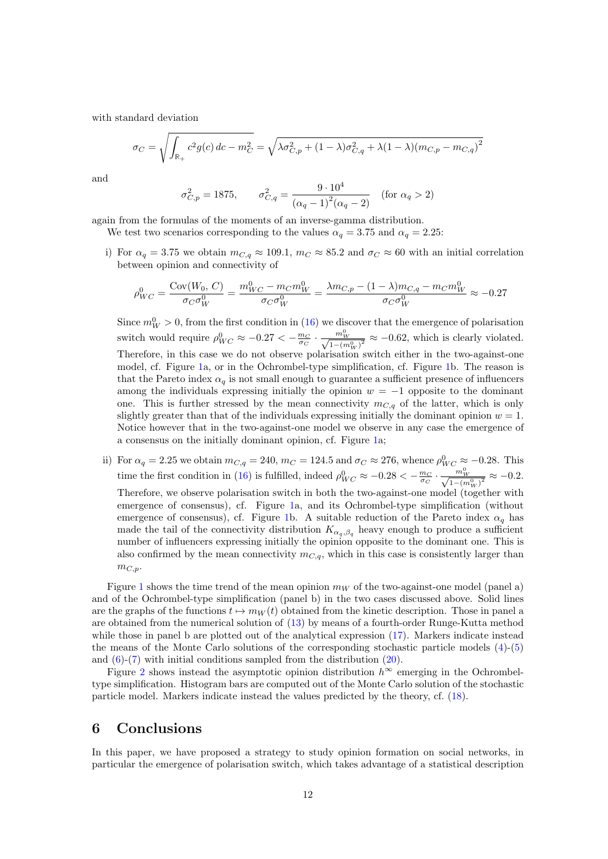with standard deviation

$$
\sigma_C = \sqrt{\int_{\mathbb{R}_+} c^2 g(c) \, dc - m_C^2} = \sqrt{\lambda \sigma_{C,p}^2 + (1 - \lambda) \sigma_{C,q}^2 + \lambda (1 - \lambda) (m_{C,p} - m_{C,q})^2}
$$

and

$$
\sigma_{C,p}^2 = 1875, \qquad \sigma_{C,q}^2 = \frac{9 \cdot 10^4}{(\alpha_q - 1)^2 (\alpha_q - 2)} \quad \text{(for } \alpha_q > 2\text{)}
$$

again from the formulas of the moments of an inverse-gamma distribution.

We test two scenarios corresponding to the values  $\alpha_q = 3.75$  and  $\alpha_q = 2.25$ :

i) For  $\alpha_q = 3.75$  we obtain  $m_{C,q} \approx 109.1$ ,  $m_C \approx 85.2$  and  $\sigma_C \approx 60$  with an initial correlation between opinion and connectivity of

$$
\rho_{WC}^0 = \frac{\text{Cov}(W_0, C)}{\sigma_C \sigma_W^0} = \frac{m_{WC}^0 - m_C m_W^0}{\sigma_C \sigma_W^0} = \frac{\lambda m_{C,p} - (1 - \lambda) m_{C,q} - m_C m_W^0}{\sigma_C \sigma_W^0} \approx -0.27
$$

Since  $m_W^0 > 0$ , from the first condition in [\(16\)](#page-7-0) we discover that the emergence of polarisation switch would require  $\rho_{WC}^0 \approx -0.27 < -\frac{m_C}{\sigma_C} \cdot \frac{m_W^0}{\sqrt{1-(m\sigma_U)}}$  $\frac{m_W}{1-(m_W^0)^2} \approx -0.62$ , which is clearly violated. Therefore, in this case we do not observe polarisation switch either in the two-against-one model, cf. Figure [1a](#page-12-0), or in the Ochrombel-type simplification, cf. Figure [1b](#page-12-0). The reason is that the Pareto index  $\alpha_q$  is not small enough to guarantee a sufficient presence of influencers among the individuals expressing initially the opinion  $w = -1$  opposite to the dominant one. This is further stressed by the mean connectivity  $m_{C,q}$  of the latter, which is only slightly greater than that of the individuals expressing initially the dominant opinion  $w = 1$ . Notice however that in the two-against-one model we observe in any case the emergence of a consensus on the initially dominant opinion, cf. Figure [1a](#page-12-0);

ii) For  $\alpha_q = 2.25$  we obtain  $m_{C,q} = 240$ ,  $m_C = 124.5$  and  $\sigma_C \approx 276$ , whence  $\rho_{WC}^0 \approx -0.28$ . This time the first condition in [\(16\)](#page-7-0) is fulfilled, indeed  $\rho_{WC}^0 \approx -0.28 < -\frac{m_C}{\sigma_C} \cdot \frac{m_W^0}{\sqrt{1-(m\sigma_U)^2}}$  $\frac{m_W^2}{1-(m_W^0)^2} \approx -0.2.$ Therefore, we observe polarisation switch in both the two-against-one model (together with emergence of consensus), cf. Figure [1a](#page-12-0), and its Ochrombel-type simplification (without emergence of consensus), cf. Figure [1b](#page-12-0). A suitable reduction of the Pareto index  $\alpha_q$  has made the tail of the connectivity distribution  $K_{\alpha_q,\beta_q}$  heavy enough to produce a sufficient number of influencers expressing initially the opinion opposite to the dominant one. This is also confirmed by the mean connectivity  $m_{C,q}$ , which in this case is consistently larger than  $m_{C,p}$ .

Figure [1](#page-12-0) shows the time trend of the mean opinion  $m_W$  of the two-against-one model (panel a) and of the Ochrombel-type simplification (panel b) in the two cases discussed above. Solid lines are the graphs of the functions  $t \mapsto m_W(t)$  obtained from the kinetic description. Those in panel a are obtained from the numerical solution of [\(13\)](#page-5-0) by means of a fourth-order Runge-Kutta method while those in panel b are plotted out of the analytical expression [\(17\)](#page-8-2). Markers indicate instead the means of the Monte Carlo solutions of the corresponding stochastic particle models [\(4\)](#page-3-1)-[\(5\)](#page-3-0) and  $(6)-(7)$  $(6)-(7)$  with initial conditions sampled from the distribution  $(20)$ .

Figure [2](#page-12-1) shows instead the asymptotic opinion distribution  $h^{\infty}$  emerging in the Ochrombeltype simplification. Histogram bars are computed out of the Monte Carlo solution of the stochastic particle model. Markers indicate instead the values predicted by the theory, cf. [\(18\)](#page-8-3).

### <span id="page-11-0"></span>6 Conclusions

In this paper, we have proposed a strategy to study opinion formation on social networks, in particular the emergence of polarisation switch, which takes advantage of a statistical description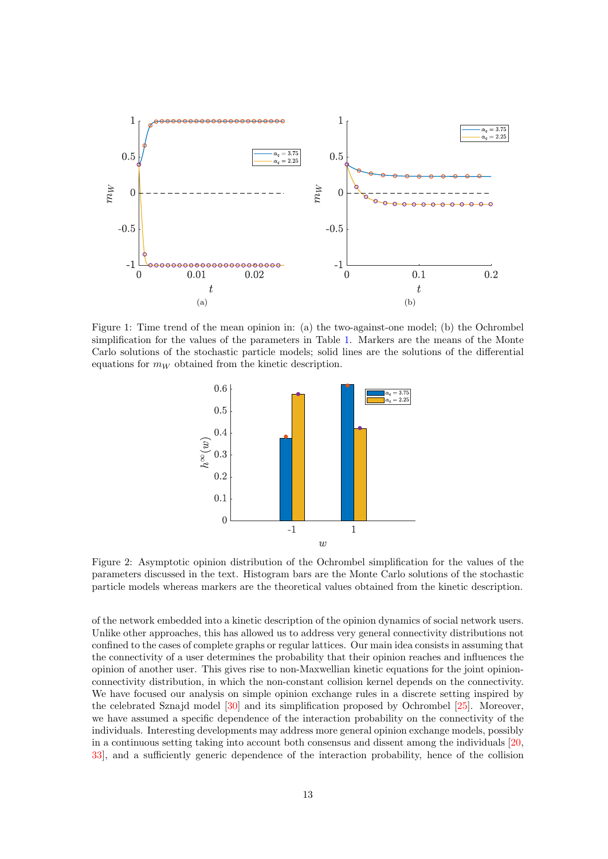<span id="page-12-0"></span>

<span id="page-12-1"></span>Figure 1: Time trend of the mean opinion in: (a) the two-against-one model; (b) the Ochrombel simplification for the values of the parameters in Table [1.](#page-10-1) Markers are the means of the Monte Carlo solutions of the stochastic particle models; solid lines are the solutions of the differential equations for  $m_W$  obtained from the kinetic description.



Figure 2: Asymptotic opinion distribution of the Ochrombel simplification for the values of the parameters discussed in the text. Histogram bars are the Monte Carlo solutions of the stochastic particle models whereas markers are the theoretical values obtained from the kinetic description.

of the network embedded into a kinetic description of the opinion dynamics of social network users. Unlike other approaches, this has allowed us to address very general connectivity distributions not confined to the cases of complete graphs or regular lattices. Our main idea consists in assuming that the connectivity of a user determines the probability that their opinion reaches and influences the opinion of another user. This gives rise to non-Maxwellian kinetic equations for the joint opinionconnectivity distribution, in which the non-constant collision kernel depends on the connectivity. We have focused our analysis on simple opinion exchange rules in a discrete setting inspired by the celebrated Sznajd model [\[30\]](#page-14-8) and its simplification proposed by Ochrombel [\[25\]](#page-14-17). Moreover, we have assumed a specific dependence of the interaction probability on the connectivity of the individuals. Interesting developments may address more general opinion exchange models, possibly in a continuous setting taking into account both consensus and dissent among the individuals [\[20,](#page-14-20) [33\]](#page-15-3), and a sufficiently generic dependence of the interaction probability, hence of the collision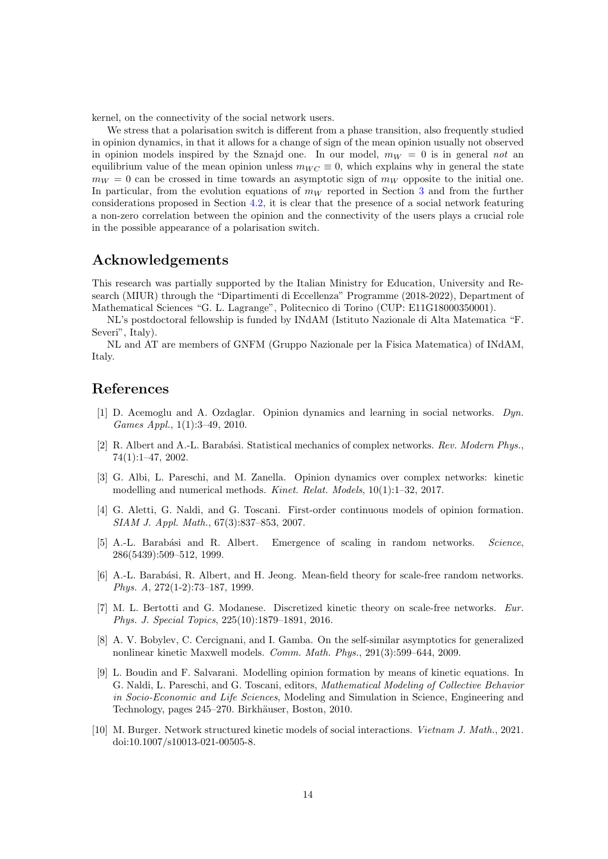kernel, on the connectivity of the social network users.

We stress that a polarisation switch is different from a phase transition, also frequently studied in opinion dynamics, in that it allows for a change of sign of the mean opinion usually not observed in opinion models inspired by the Sznajd one. In our model,  $m_W = 0$  is in general not an equilibrium value of the mean opinion unless  $m_{WC} \equiv 0$ , which explains why in general the state  $m_W = 0$  can be crossed in time towards an asymptotic sign of  $m_W$  opposite to the initial one. In particular, from the evolution equations of  $m_W$  reported in Section [3](#page-4-0) and from the further considerations proposed in Section [4.2,](#page-8-4) it is clear that the presence of a social network featuring a non-zero correlation between the opinion and the connectivity of the users plays a crucial role in the possible appearance of a polarisation switch.

### Acknowledgements

This research was partially supported by the Italian Ministry for Education, University and Research (MIUR) through the "Dipartimenti di Eccellenza" Programme (2018-2022), Department of Mathematical Sciences "G. L. Lagrange", Politecnico di Torino (CUP: E11G18000350001).

NL's postdoctoral fellowship is funded by INdAM (Istituto Nazionale di Alta Matematica "F. Severi", Italy).

NL and AT are members of GNFM (Gruppo Nazionale per la Fisica Matematica) of INdAM, Italy.

### References

- <span id="page-13-3"></span>[1] D. Acemoglu and A. Ozdaglar. Opinion dynamics and learning in social networks. Dyn. Games Appl., 1(1):3–49, 2010.
- <span id="page-13-0"></span>[2] R. Albert and A.-L. Barabási. Statistical mechanics of complex networks. Rev. Modern Phys., 74(1):1–47, 2002.
- <span id="page-13-4"></span>[3] G. Albi, L. Pareschi, and M. Zanella. Opinion dynamics over complex networks: kinetic modelling and numerical methods. Kinet. Relat. Models, 10(1):1–32, 2017.
- <span id="page-13-7"></span>[4] G. Aletti, G. Naldi, and G. Toscani. First-order continuous models of opinion formation. SIAM J. Appl. Math., 67(3):837–853, 2007.
- <span id="page-13-1"></span>[5] A.-L. Barabási and R. Albert. Emergence of scaling in random networks. Science, 286(5439):509–512, 1999.
- <span id="page-13-2"></span>[6] A.-L. Barabási, R. Albert, and H. Jeong. Mean-field theory for scale-free random networks. Phys. A, 272(1-2):73–187, 1999.
- <span id="page-13-5"></span>[7] M. L. Bertotti and G. Modanese. Discretized kinetic theory on scale-free networks. Eur. Phys. J. Special Topics, 225(10):1879–1891, 2016.
- <span id="page-13-9"></span>[8] A. V. Bobylev, C. Cercignani, and I. Gamba. On the self-similar asymptotics for generalized nonlinear kinetic Maxwell models. Comm. Math. Phys., 291(3):599–644, 2009.
- <span id="page-13-8"></span>[9] L. Boudin and F. Salvarani. Modelling opinion formation by means of kinetic equations. In G. Naldi, L. Pareschi, and G. Toscani, editors, Mathematical Modeling of Collective Behavior in Socio-Economic and Life Sciences, Modeling and Simulation in Science, Engineering and Technology, pages 245–270. Birkhäuser, Boston, 2010.
- <span id="page-13-6"></span>[10] M. Burger. Network structured kinetic models of social interactions. Vietnam J. Math., 2021. doi:10.1007/s10013-021-00505-8.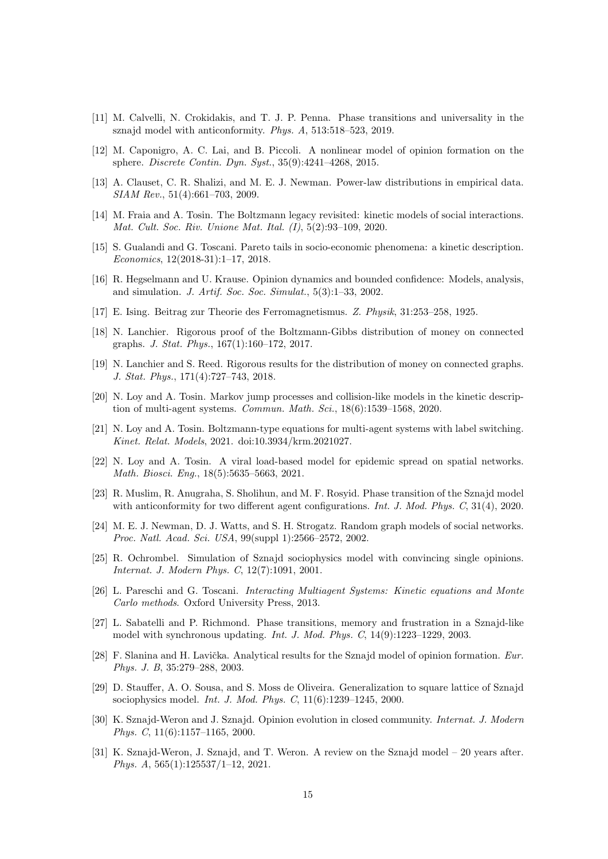- <span id="page-14-11"></span>[11] M. Calvelli, N. Crokidakis, and T. J. P. Penna. Phase transitions and universality in the sznajd model with anticonformity. Phys. A, 513:518–523, 2019.
- <span id="page-14-3"></span>[12] M. Caponigro, A. C. Lai, and B. Piccoli. A nonlinear model of opinion formation on the sphere. Discrete Contin. Dyn. Syst., 35(9):4241–4268, 2015.
- <span id="page-14-15"></span>[13] A. Clauset, C. R. Shalizi, and M. E. J. Newman. Power-law distributions in empirical data. SIAM Rev., 51(4):661–703, 2009.
- <span id="page-14-18"></span>[14] M. Fraia and A. Tosin. The Boltzmann legacy revisited: kinetic models of social interactions. Mat. Cult. Soc. Riv. Unione Mat. Ital. (I), 5(2):93–109, 2020.
- <span id="page-14-19"></span>[15] S. Gualandi and G. Toscani. Pareto tails in socio-economic phenomena: a kinetic description. Economics, 12(2018-31):1–17, 2018.
- <span id="page-14-7"></span>[16] R. Hegselmann and U. Krause. Opinion dynamics and bounded confidence: Models, analysis, and simulation. J. Artif. Soc. Soc. Simulat., 5(3):1–33, 2002.
- <span id="page-14-10"></span>[17] E. Ising. Beitrag zur Theorie des Ferromagnetismus. Z. Physik, 31:253–258, 1925.
- <span id="page-14-1"></span>[18] N. Lanchier. Rigorous proof of the Boltzmann-Gibbs distribution of money on connected graphs. J. Stat. Phys., 167(1):160–172, 2017.
- <span id="page-14-2"></span>[19] N. Lanchier and S. Reed. Rigorous results for the distribution of money on connected graphs. J. Stat. Phys., 171(4):727–743, 2018.
- <span id="page-14-20"></span>[20] N. Loy and A. Tosin. Markov jump processes and collision-like models in the kinetic description of multi-agent systems. Commun. Math. Sci., 18(6):1539–1568, 2020.
- <span id="page-14-4"></span>[21] N. Loy and A. Tosin. Boltzmann-type equations for multi-agent systems with label switching. Kinet. Relat. Models, 2021. doi:10.3934/krm.2021027.
- <span id="page-14-5"></span>[22] N. Loy and A. Tosin. A viral load-based model for epidemic spread on spatial networks. Math. Biosci. Eng., 18(5):5635–5663, 2021.
- <span id="page-14-12"></span>[23] R. Muslim, R. Anugraha, S. Sholihun, and M. F. Rosyid. Phase transition of the Sznajd model with anticonformity for two different agent configurations. *Int. J. Mod. Phys. C*, 31(4), 2020.
- <span id="page-14-0"></span>[24] M. E. J. Newman, D. J. Watts, and S. H. Strogatz. Random graph models of social networks. Proc. Natl. Acad. Sci. USA, 99(suppl 1):2566–2572, 2002.
- <span id="page-14-17"></span>[25] R. Ochrombel. Simulation of Sznajd sociophysics model with convincing single opinions. Internat. J. Modern Phys. C, 12(7):1091, 2001.
- <span id="page-14-6"></span>[26] L. Pareschi and G. Toscani. Interacting Multiagent Systems: Kinetic equations and Monte Carlo methods. Oxford University Press, 2013.
- <span id="page-14-13"></span>[27] L. Sabatelli and P. Richmond. Phase transitions, memory and frustration in a Sznajd-like model with synchronous updating. Int. J. Mod. Phys. C, 14(9):1223–1229, 2003.
- <span id="page-14-14"></span>[28] F. Slanina and H. Lavička. Analytical results for the Sznajd model of opinion formation. Eur. Phys. J. B, 35:279–288, 2003.
- <span id="page-14-16"></span>[29] D. Stauffer, A. O. Sousa, and S. Moss de Oliveira. Generalization to square lattice of Sznajd sociophysics model. Int. J. Mod. Phys. C, 11(6):1239–1245, 2000.
- <span id="page-14-8"></span>[30] K. Sznajd-Weron and J. Sznajd. Opinion evolution in closed community. Internat. J. Modern Phys. C, 11(6):1157–1165, 2000.
- <span id="page-14-9"></span>[31] K. Sznajd-Weron, J. Sznajd, and T. Weron. A review on the Sznajd model – 20 years after. Phys. A, 565(1):125537/1–12, 2021.